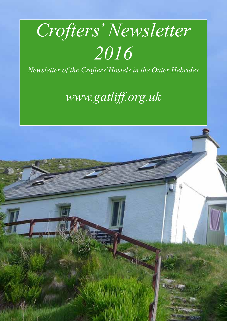# *Crofters' Newsletter 2016*

*Newsletter of the Crofters' Hostels in the Outer Hebrides*

*www.gatliff.org.uk*

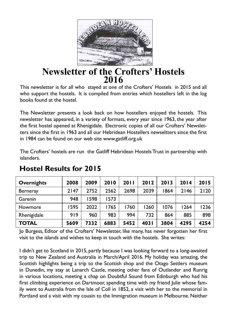

# **Newsletter of the Crofters' Hostels 2016**

This newsletter is for all who stayed at one of the Crofters' Hostels in 2015 and all who support the hostels. It is compiled from entries which hostellers left in the log books found at the hostel.

The Newsletter presents a look back on how hostellers enjoyed the hostels. This newsletter has appeared, in a variety of formats, every year since 1963, the year after the first hostel opened at Rhenigidale. Electronic copies of all our Crofters' Newsletters since the first in 1963 and all our Hebridean Hostellers newseltters since the first in 1984 can be found on our web site www.gatliff.org.uk

The Crofters' hostels are run the Gatliff Hebridean Hostels Trust in partnership with islanders.

| <b>Overnights</b> | 2008 | 2009 | 2010 | 2011 | 2012  | 2013 | 2014 | 2015 |
|-------------------|------|------|------|------|-------|------|------|------|
| Berneray          | 2147 | 2752 | 2562 | 2698 | 2039  | 1864 | 2146 | 2120 |
| Garenin           | 948  | 1598 | 1573 |      |       |      |      |      |
| Howmore           | 1595 | 2022 | 1765 | 760  | 1260  | 1076 | 1264 | 1236 |
| Rhenigidale       | 919  | 960  | 983  | 994  | 732   | 864  | 885  | 898  |
| <b>TOTAL</b>      | 5609 | 7332 | 6883 | 5452 | 403 I | 3804 | 4295 | 4254 |

# **Hostel Results for 2015**

Jo Burgess, Editor of the Crofters' Newsletter, like many, has never forgotten her first visit to the islands and wishes to keep in touch with the hostels. She writes:

I didn't get to Scotland in 2015, partly because I was looking forward to a long-awaited trip to New Zealand and Australia in March/April 2016. My holiday was amazing, the Scottish highlights being a trip to the Scottish shop and the Otago Settlers museum in Dunedin, my stay at Lanarch Castle, meeting other fans of Outlander and Runrig in various locations, meeting a chap on Doubtful Sound from Edinburgh who had his first climbing experience on Dartmoor, spending time with my friend Julie whose family went to Australia from the Isle of Coll in 1852, a visit with her to the memorial in Portland and a visit with my cousin to the Immigration museum in Melbourne. Neither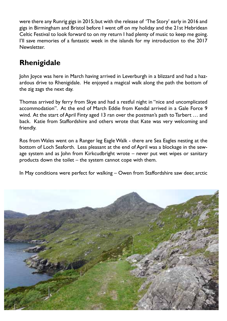were there any Runrig gigs in 2015; but with the release of 'The Story' early in 2016 and gigs in Birmingham and Bristol before I went off on my holiday and the 21st Hebridean Celtic Festival to look forward to on my return I had plenty of music to keep me going. I'll save memories of a fantastic week in the islands for my introduction to the 2017 **Newsletter** 

# **Rhenigidale**

John Joyce was here in March having arrived in Leverburgh in a blizzard and had a hazardous drive to Rhenigidale. He enjoyed a magical walk along the path the bottom of the zig zags the next day.

Thomas arrived by ferry from Skye and had a restful night in "nice and uncomplicated accommodation". At the end of March Eddie from Kendal arrived in a Gale Force 9 wind. At the start of April Finty aged 13 ran over the postman's path to Tarbert … and back. Katie from Staffordshire and others wrote that Kate was very welcoming and friendly.

Ros from Wales went on a Ranger leg Eagle Walk - there are Sea Eagles nesting at the bottom of Loch Seaforth. Less pleasant at the end of April was a blockage in the sewage system and as John from Kirkcudbright wrote – never put wet wipes or sanitary products down the toilet – the system cannot cope with them.

In May conditions were perfect for walking – Owen from Staffordshire saw deer, arctic

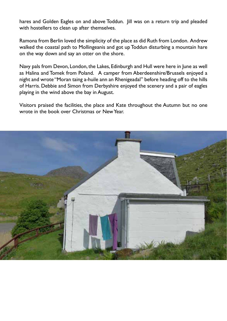hares and Golden Eagles on and above Toddun. Jill was on a return trip and pleaded with hostellers to clean up after themselves.

Ramona from Berlin loved the simplicity of the place as did Ruth from London. Andrew walked the coastal path to Mollingeanis and got up Toddun disturbing a mountain hare on the way down and say an otter on the shore.

Navy pals from Devon, London, the Lakes, Edinburgh and Hull were here in June as well as Halina and Tomek from Poland. A camper from Aberdeenshire/Brussels enjoyed a night and wrote "Moran taing a-huile ann an Rhenigeadal" before heading off to the hills of Harris. Debbie and Simon from Derbyshire enjoyed the scenery and a pair of eagles playing in the wind above the bay in August.

Visitors praised the facilities, the place and Kate throughout the Autumn but no one wrote in the book over Christmas or New Year.

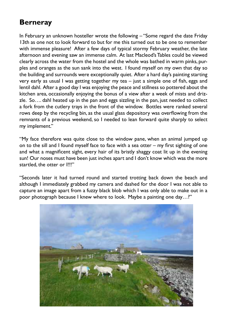# **Berneray**

In February an unknown hosteller wrote the following – "Some regard the date Friday 13th as one not to look forward to but for me this turned out to be one to remember with immense pleasure! After a few days of typical stormy February weather, the late afternoon and evening saw an immense calm. At last Macleod's Tables could be viewed clearly across the water from the hostel and the whole was bathed in warm pinks, purples and oranges as the sun sank into the west. I found myself on my own that day so the building and surrounds were exceptionally quiet. After a hard day's painting starting very early as usual I was getting together my tea – just a simple one of fish, eggs and lentil dahl. After a good day I was enjoying the peace and stillness so pottered about the kitchen area, occasionally enjoying the bonus of a view after a week of mists and drizzle. So…. dahl heated up in the pan and eggs sizzling in the pan, just needed to collect a fork from the cutlery trays in the front of the window. Bottles were ranked several rows deep by the recycling bin, as the usual glass depository was overflowing from the remnants of a previous weekend, so I needed to lean forward quite sharply to select my implement."

"My face therefore was quite close to the window pane, when an animal jumped up on to the sill and I found myself face to face with a sea otter – my first sighting of one and what a magnificent sight, every hair of its bristly shaggy coat lit up in the evening sun! Our noses must have been just inches apart and I don't know which was the more startled, the otter or I!!!"

"Seconds later it had turned round and started trotting back down the beach and although I immediately grabbed my camera and dashed for the door I was not able to capture an image apart from a fuzzy black blob which I was only able to make out in a poor photograph because I knew where to look. Maybe a painting one day…?"

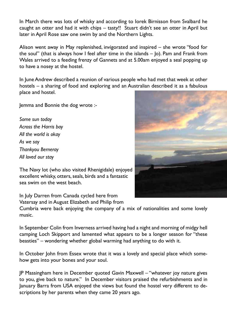In March there was lots of whisky and according to Iorek Birnisson from Svalbard he caught an otter and had it with chips – tasty!! Stuart didn't see an otter in April but later in April Rose saw one swim by and the Northern Lights.

Alison went away in May replenished, invigorated and inspired – she wrote "food for the soul" (that is always how I feel after time in the islands  $-$  |o). Pam and Frank from Wales arrived to a feeding frenzy of Gannets and at 5.00am enjoyed a seal popping up to have a nosey at the hostel.

In June Andrew described a reunion of various people who had met that week at other hostels – a sharing of food and exploring and an Australian described it as a fabulous place and hostel.

Jemma and Bonnie the dog wrote :-

*Some sun today Across the Harris bay All the world is okay As we say Thankyou Berneray All loved our stay*

The Navy lot (who also visited Rhenigidale) enjoyed excellent whisky, otters, seals, birds and a fantastic sea swim on the west beach.

In July Darren from Canada cycled here from Vatersay and in August Elizabeth and Philip from

Cumbria were back enjoying the company of a mix of nationalities and some lovely music.

In September Colin from Inverness arrived having had a night and morning of midgy hell camping Loch Skipport and lamented what appears to be a longer season for "these beasties" – wondering whether global warming had anything to do with it.

In October John from Essex wrote that it was a lovely and special place which somehow gets into your bones and your soul.

JP Massingham here in December quoted Gavin Maxwell – "whatever joy nature gives to you, give back to nature." In December visitors praised the refurbishments and in January Barra from USA enjoyed the views but found the hostel very different to descriptions by her parents when they came 20 years ago.

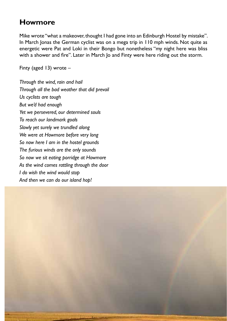#### **Howmore**

Mike wrote "what a makeover, thought I had gone into an Edinburgh Hostel by mistake". In March Jonas the German cyclist was on a mega trip in 110 mph winds. Not quite as energetic were Pat and Loki in their Bongo but nonetheless "my night here was bliss with a shower and fire". Later in March Jo and Finty were here riding out the storm.

Finty (aged 13) wrote –

*Through the wind, rain and hail Through all the bad weather that did prevail Us cyclists are tough But we'd had enough Yet we persevered, our determined souls To reach our landmark goals Slowly yet surely we trundled along We were at Howmore before very long So now here I am in the hostel grounds The furious winds are the only sounds So now we sit eating porridge at Howmore As the wind comes rattling through the door I do wish the wind would stop And then we can do our island hop!*

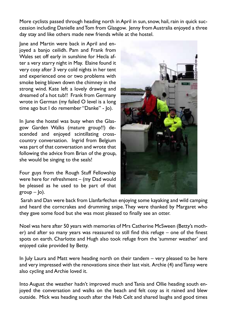More cyclists passed through heading north in April in sun, snow, hail, rain in quick succession including Danielle and Tom from Glasgow. Jenny from Australia enjoyed a three day stay and like others made new friends while at the hostel.

Jane and Martin were back in April and enjoyed a banjo ceilidh. Pam and Frank from Wales set off early in sunshine for Hecla after a very starry night in May. Elaine found it very cosy after 3 very cold nights in her tent and experienced one or two problems with smoke being blown down the chimney in the strong wind. Kate left a lovely drawing and dreamed of a hot tub!! Frank from Germany wrote in German (my failed O level is a long time ago but I do remember "Danke" - Jo).

In June the hostel was busy when the Glasgow Garden Walks (mature group!!) descended and enjoyed scintillating crosscountry conversation. Ingrid from Belgium was part of that conversation and wrote that following the advice from Brian of the group, she would be singing to the seals!

Four guys from the Rough Stuff Fellowship were here for refreshment – (my Dad would be pleased as he used to be part of that  $\text{group} - \text{lo}$ ).



 Sarah and Dan were back from Llanfarfechan enjoying some kayaking and wild camping and heard the corncrakes and drumming snipe. They were thanked by Margaret who they gave some food but she was most pleased to finally see an otter.

Noel was here after 50 years with memories of Mrs Catherine McSween (Betty's mother) and after so many years was reassured to still find this refuge – one of the finest spots on earth. Charlotte and Hugh also took refuge from the 'summer weather' and enjoyed cake provided by Betty.

In July Laura and Matt were heading north on their tandem – very pleased to be here and very impressed with the renovations since their last visit. Archie (4) and Tansy were also cycling and Archie loved it.

Into August the weather hadn't improved much and Tania and Ollie heading south enjoyed the conversation and walks on the beach and felt cosy as it rained and blew outside. Mick was heading south after the Heb Celt and shared laughs and good times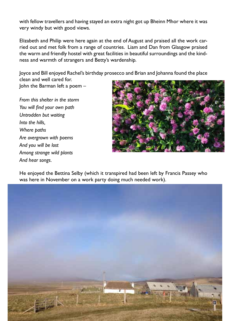with fellow travellers and having stayed an extra night got up Bheinn Mhor where it was very windy but with good views.

Elizabeth and Philip were here again at the end of August and praised all the work carried out and met folk from a range of countries. Liam and Dan from Glasgow praised the warm and friendly hostel with great facilities in beautiful surroundings and the kindness and warmth of strangers and Betty's wardenship.

Joyce and Bill enjoyed Rachel's birthday prosecco and Brian and Johanna found the place clean and well cared for. John the Barman left a poem –

*From this shelter in the storm You will find your own path Untrodden but waiting Into the hills, Where paths Are overgrown with poems And you will be lost Among strange wild plants And hear songs.*



He enjoyed the Bettina Selby (which it transpired had been left by Francis Passey who was here in November on a work party doing much needed work).

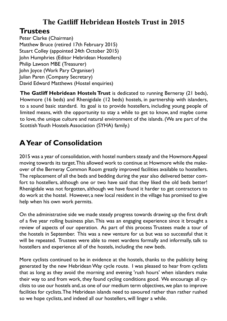# **The Gatliff Hebridean Hostels Trust in 2015**

#### **Trustees**

Peter Clarke (Chairman) Matthew Bruce (retired 17th February 2015) Stuart Colley (appointed 24th October 2015) John Humphries (Editor Hebridean Hostellers) Philip Lawson MBE (Treasurer) John Joyce (Work Pary Organiser) Julian Paren (Company Secretary) David Edward Matthews (Hostel enquiries)

**The Gatliff Hebridean Hostels Trust** is dedicated to running Berneray (21 beds), Howmore (16 beds) and Rhenigidale (12 beds) hostels, in partnership with islanders, to a sound basic standard. Its goal is to provide hostellers, including young people of limited means, with the opportunity to stay a while to get to know, and maybe come to love, the unique culture and natural environment of the islands. (We are part of the Scottish Youth Hostels Association (SYHA) family.)

# **A Year of Consolidation**

2015 was a year of consolidation, with hostel numbers steady and the Howmore Appeal moving towards its target. This allowed work to continue at Howmore while the makeover of the Berneray Common Room greatly improved facilities available to hostellers. The replacement of all the beds and bedding during the year also delivered better comfort to hostellers, although one or two have said that they liked the old beds better! Rhenigidale was not forgotten, although we have found it harder to get contractors to do work at the hostel. However, a new local resident in the village has promised to give help when his own work permits.

On the administrative side we made steady progress towards drawing up the first draft of a five year rolling business plan. This was an engaging experience since it brought a review of aspects of our operation. As part of this process Trustees made a tour of the hostels in September. This was a new venture for us but was so successful that it will be repeated. Trustees were able to meet wardens formally and informally, talk to hostellers and experience all of the hostels, including the new beds.

More cyclists continued to be in evidence at the hostels, thanks to the publicity being generated by the new Hebridean Way cycle route. I was pleased to hear from cyclists that as long as they avoid the morning and evening 'rush hours' when islanders make their way to and from work, they found cycling conditions good. We encourage all cyclists to use our hostels and, as one of our medium term objectives, we plan to improve facilities for cyclists. The Hebridean islands need to savoured rather than rather rushed so we hope cyclists, and indeed all our hostellers, will linger a while.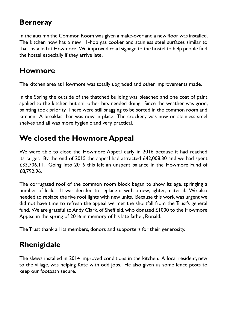### **Berneray**

In the autumn the Common Room was given a make-over and a new floor was installed. The kitchen now has a new 11-hob gas cooker and stainless steel surfaces similar to that installed at Howmore. We improved road signage to the hostel to help people find the hostel especially if they arrive late.

#### **Howmore**

The kitchen area at Howmore was totally upgraded and other improvements made.

In the Spring the outside of the thatched building was bleached and one coat of paint applied to the kitchen but still other bits needed doing. Since the weather was good, painting took priority. There were still snagging to be sorted in the common room and kitchen. A breakfast bar was now in place. The crockery was now on stainless steel shelves and all was more hygienic and very practical.

# **We closed the Howmore Appeal**

We were able to close the Howmore Appeal early in 2016 because it had reached its target. By the end of 2015 the appeal had attracted £42,008.30 and we had spent £33,706.11. Going into 2016 this left an unspent balance in the Howmore Fund of £8,792.96.

The corrugated roof of the common room block began to show its age, springing a number of leaks. It was decided to replace it with a new, lighter, material. We also needed to replace the five roof lights with new units. Because this work was urgent we did not have time to refresh the appeal we met the shortfall from the Trust's general fund. We are grateful to Andy Clark, of Sheffield, who donated £1000 to the Howmore Appeal in the spring of 2016 in memory of his late father, Ronald.

The Trust thank all its members, donors and supporters for their generosity.

# **Rhenigidale**

The skews installed in 2014 improved conditions in the kitchen. A local resident, new to the village, was helping Kate with odd jobs. He also given us some fence posts to keep our footpath secure.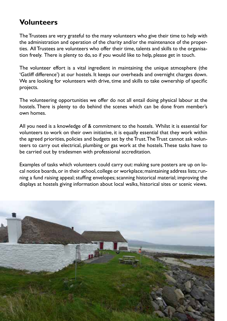#### **Volunteers**

The Trustees are very grateful to the many volunteers who give their time to help with the administration and operation of the charity and/or the maintenance of the properties. All Trustees are volunteers who offer their time, talents and skills to the organisation freely. There is plenty to do, so if you would like to help, please get in touch.

The volunteer effort is a vital ingredient in maintaining the unique atmosphere (the 'Gatliff difference') at our hostels. It keeps our overheads and overnight charges down. We are looking for volunteers with drive, time and skills to take ownership of specific projects.

The volunteering opportunities we offer do not all entail doing physical labour at the hostels. There is plenty to do behind the scenes which can be done from member's own homes.

All you need is a knowledge of & commitment to the hostels. Whilst it is essential for volunteers to work on their own initiative, it is equally essential that they work within the agreed priorities, policies and budgets set by the Trust. The Trust cannot ask volunteers to carry out electrical, plumbing or gas work at the hostels. These tasks have to be carried out by tradesmen with professional accreditation.

Examples of tasks which volunteers could carry out: making sure posters are up on local notice boards, or in their school, college or workplace; maintaining address lists; running a fund raising appeal; stuffing envelopes; scanning historical material; improving the displays at hostels giving information about local walks, historical sites or scenic views.

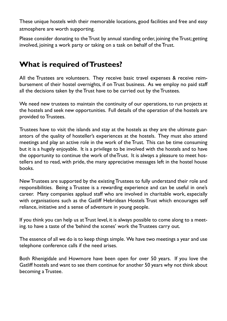These unique hostels with their memorable locations, good facilities and free and easy atmosphere are worth supporting.

Please consider donating to the Trust by annual standing order, joining the Trust; getting involved, joining a work party or taking on a task on behalf of the Trust.

#### **What is required of Trustees?**

All the Trustees are volunteers. They receive basic travel expenses & receive reimbursement of their hostel overnights, if on Trust business. As we employ no paid staff all the decisions taken by the Trust have to be carried out by the Trustees.

We need new trustees to maintain the continuity of our operations, to run projects at the hostels and seek new opportunities. Full details of the operation of the hostels are provided to Trustees.

Trustees have to visit the islands and stay at the hostels as they are the ultimate guarantors of the quality of hosteller's experiences at the hostels. They must also attend meetings and play an active role in the work of the Trust. This can be time consuming but it is a hugely enjoyable. It is a privilege to be involved with the hostels and to have the opportunity to continue the work of theTrust. It is always a pleasure to meet hostellers and to read, with pride, the many appreciative messages left in the hostel house books.

New Trustees are supported by the existing Trustees to fully understand their role and responsibilities. Being a Trustee is a rewarding experience and can be useful in one's career. Many companies applaud staff who are involved in charitable work, especially with organisations such as the Gatliff Hebridean Hostels Trust which encourages self reliance, initiative and a sense of adventure in young people.

If you think you can help us at Trust level, it is always possible to come along to a meeting. to have a taste of the 'behind the scenes' work the Trustees carry out.

The essence of all we do is to keep things simple. We have two meetings a year and use telephone conference calls if the need arises.

Both Rhenigidale and Howmore have been open for over 50 years. If you love the Gatliff hostels and want to see them continue for another 50 years why not think about becoming a Trustee.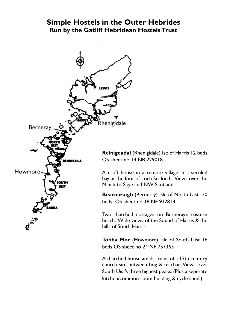#### **Simple Hostels in the Outer Hebrides Run by the Gatliff Hebridean Hostels Trust**



**Reinigeadal** (Rhenigidale) Ise of Harris 12 beds OS sheet no 14 NB 229018

A croft house in a remote village in a seculed bay at the foot of Loch Seaforth. Views over the Minch to Skye and NW Scotland

**Bearnaraigh** (Berneray) Isle of North Uist 20 beds OS sheet no 18 NF 932814

Two thatched cottages on Berneray's eastern beach. Wide views of the Sound of Harris & the hills of South Harris

**Tobha Mor** (Howmore) Isle of South Uist 16 beds OS sheet no 24 NF 757365

A thatched house amidst ruins of a 13th century church site between bog & machair. Views over South Uist's three highest peaks. (Plus a seperate kitchen/common room building & cycle shed.)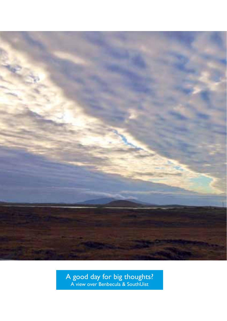

A good day for big thoughts? A view over Benbecula & SouthUist